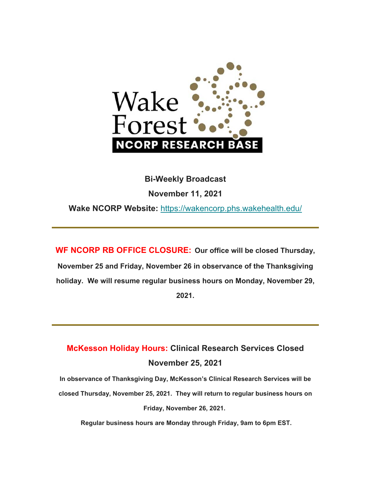

#### **Bi-Weekly Broadcast**

**November 11, 2021** 

**Wake NCORP Website:** https://wakencorp.phs.wakehealth.edu/

**WF NCORP RB OFFICE CLOSURE: Our office will be closed Thursday, November 25 and Friday, November 26 in observance of the Thanksgiving holiday. We will resume regular business hours on Monday, November 29, 2021.**

## **McKesson Holiday Hours: Clinical Research Services Closed November 25, 2021**

**In observance of Thanksgiving Day, McKesson's Clinical Research Services will be closed Thursday, November 25, 2021. They will return to regular business hours on Friday, November 26, 2021.** 

 **Regular business hours are Monday through Friday, 9am to 6pm EST.**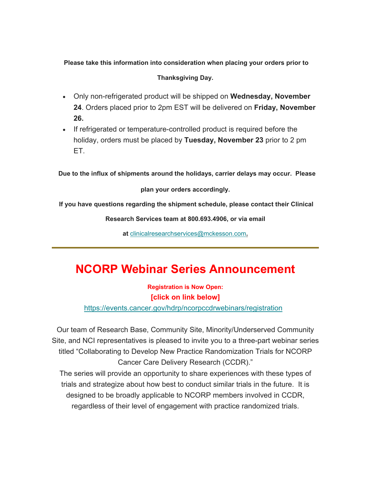## **Please take this information into consideration when placing your orders prior to Thanksgiving Day.**

- Only non-refrigerated product will be shipped on **Wednesday, November 24**. Orders placed prior to 2pm EST will be delivered on **Friday, November 26.**
- If refrigerated or temperature-controlled product is required before the holiday, orders must be placed by **Tuesday, November 23** prior to 2 pm ET.

**Due to the influx of shipments around the holidays, carrier delays may occur. Please** 

**plan your orders accordingly.** 

 **If you have questions regarding the shipment schedule, please contact their Clinical** 

**Research Services team at 800.693.4906, or via email** 

**at** clinicalresearchservices@mckesson.com**.**

# **NCORP Webinar Series Announcement**

**Registration is Now Open: [click on link below]**

https://events.cancer.gov/hdrp/ncorpccdrwebinars/registration

Our team of Research Base, Community Site, Minority/Underserved Community Site, and NCI representatives is pleased to invite you to a three-part webinar series titled "Collaborating to Develop New Practice Randomization Trials for NCORP Cancer Care Delivery Research (CCDR)."

The series will provide an opportunity to share experiences with these types of trials and strategize about how best to conduct similar trials in the future. It is designed to be broadly applicable to NCORP members involved in CCDR, regardless of their level of engagement with practice randomized trials.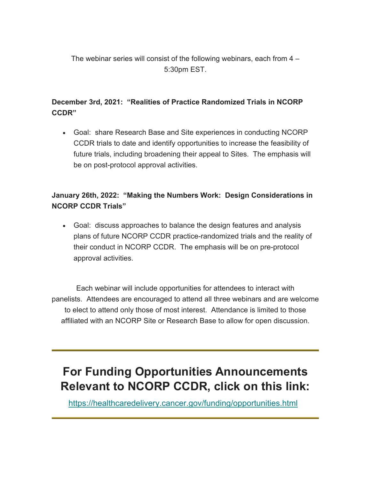The webinar series will consist of the following webinars, each from 4 – 5:30pm EST.

### **December 3rd, 2021: "Realities of Practice Randomized Trials in NCORP CCDR"**

 Goal: share Research Base and Site experiences in conducting NCORP CCDR trials to date and identify opportunities to increase the feasibility of future trials, including broadening their appeal to Sites. The emphasis will be on post-protocol approval activities.

#### **January 26th, 2022: "Making the Numbers Work: Design Considerations in NCORP CCDR Trials"**

 Goal: discuss approaches to balance the design features and analysis plans of future NCORP CCDR practice-randomized trials and the reality of their conduct in NCORP CCDR. The emphasis will be on pre-protocol approval activities.

Each webinar will include opportunities for attendees to interact with panelists. Attendees are encouraged to attend all three webinars and are welcome to elect to attend only those of most interest. Attendance is limited to those affiliated with an NCORP Site or Research Base to allow for open discussion.

# **For Funding Opportunities Announcements Relevant to NCORP CCDR, click on this link:**

https://healthcaredelivery.cancer.gov/funding/opportunities.html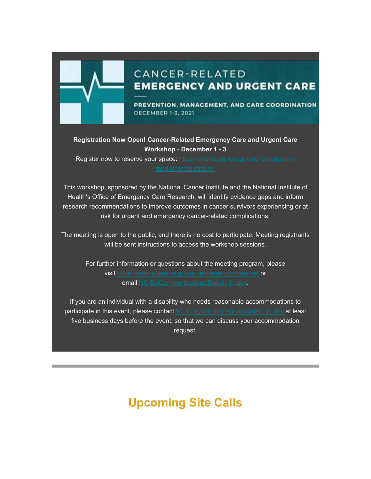

## CANCER-RELATED **EMERGENCY AND URGENT CARE**

PREVENTION, MANAGEMENT, AND CARE COORDINATION **DECEMBER 1-3, 2021** 

#### **Registration Now Open! Cancer-Related Emergency Care and Urgent Care Workshop - December 1 - 3**

Register now to reserve your space: https://events.cancer.gov/nci/emergency-

This workshop, sponsored by the National Cancer Institute and the National Institute of Health's Office of Emergency Care Research, will identify evidence gaps and inform research recommendations to improve outcomes in cancer survivors experiencing or at risk for urgent and emergency cancer-related complications.

The meeting is open to the public, and there is no cost to participate. Meeting registrants will be sent instructions to access the workshop sessions.

For further information or questions about the meeting program, please visit https://events.cancer.gov/nci/emergency-medicine or email NCIEpiCommunications@mail.nih.gov.

If you are an individual with a disability who needs reasonable accommodations to participate in this event, please contact NCIEpiCommunications@mail.nih.gov at least five business days before the event, so that we can discuss your accommodation request.

# **Upcoming Site Calls**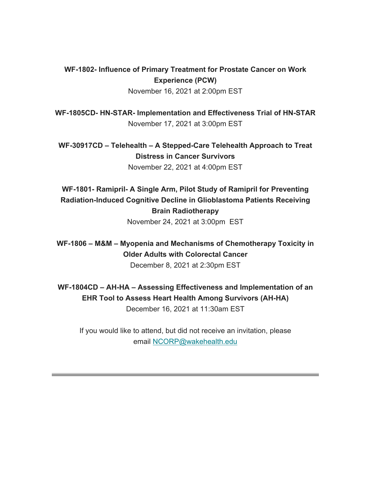### **WF-1802- Influence of Primary Treatment for Prostate Cancer on Work Experience (PCW)**

November 16, 2021 at 2:00pm EST

**WF-1805CD- HN-STAR- Implementation and Effectiveness Trial of HN-STAR** November 17, 2021 at 3:00pm EST

**WF-30917CD – Telehealth – A Stepped-Care Telehealth Approach to Treat Distress in Cancer Survivors** November 22, 2021 at 4:00pm EST

**WF-1801- Ramipril- A Single Arm, Pilot Study of Ramipril for Preventing Radiation-Induced Cognitive Decline in Glioblastoma Patients Receiving Brain Radiotherapy** November 24, 2021 at 3:00pm EST

**WF-1806 – M&M – Myopenia and Mechanisms of Chemotherapy Toxicity in Older Adults with Colorectal Cancer** December 8, 2021 at 2:30pm EST

**WF-1804CD – AH-HA – Assessing Effectiveness and Implementation of an EHR Tool to Assess Heart Health Among Survivors (AH-HA)** December 16, 2021 at 11:30am EST

If you would like to attend, but did not receive an invitation, please email NCORP@wakehealth.edu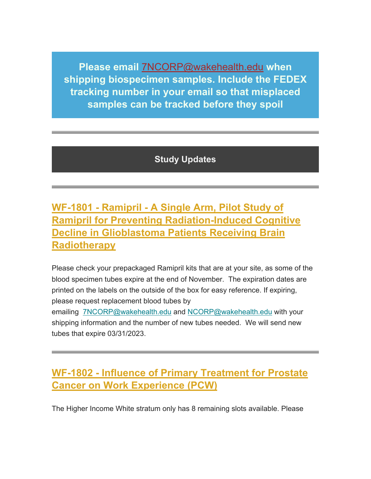**Please email** 7NCORP@wakehealth.edu **when shipping biospecimen samples. Include the FEDEX tracking number in your email so that misplaced samples can be tracked before they spoil**

**Study Updates**

## **WF-1801 - Ramipril - A Single Arm, Pilot Study of Ramipril for Preventing Radiation-Induced Cognitive Decline in Glioblastoma Patients Receiving Brain Radiotherapy**

Please check your prepackaged Ramipril kits that are at your site, as some of the blood specimen tubes expire at the end of November. The expiration dates are printed on the labels on the outside of the box for easy reference. If expiring, please request replacement blood tubes by

emailing 7NCORP@wakehealth.edu and NCORP@wakehealth.edu with your shipping information and the number of new tubes needed. We will send new tubes that expire 03/31/2023.

## **WF-1802 - Influence of Primary Treatment for Prostate Cancer on Work Experience (PCW)**

The Higher Income White stratum only has 8 remaining slots available. Please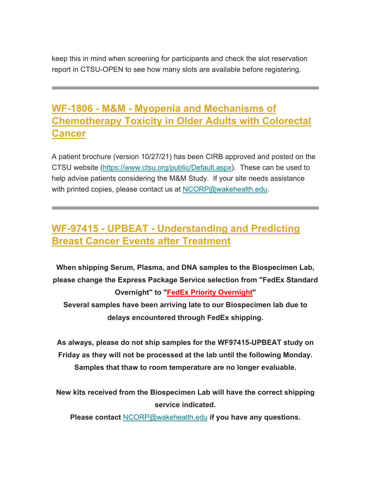keep this in mind when screening for participants and check the slot reservation report in CTSU-OPEN to see how many slots are available before registering.

## **WF-1806 - M&M - Myopenia and Mechanisms of Chemotherapy Toxicity in Older Adults with Colorectal Cancer**

A patient brochure (version 10/27/21) has been CIRB approved and posted on the CTSU website (https://www.ctsu.org/public/Default.aspx). These can be used to help advise patients considering the M&M Study. If your site needs assistance with printed copies, please contact us at NCORP@wakehealth.edu.

## **WF-97415 - UPBEAT - Understanding and Predicting Breast Cancer Events after Treatment**

**When shipping Serum, Plasma, and DNA samples to the Biospecimen Lab, please change the Express Package Service selection from "FedEx Standard Overnight" to "FedEx Priority Overnight" Several samples have been arriving late to our Biospecimen lab due to** 

**delays encountered through FedEx shipping.** 

**As always, please do not ship samples for the WF97415-UPBEAT study on Friday as they will not be processed at the lab until the following Monday. Samples that thaw to room temperature are no longer evaluable.** 

**New kits received from the Biospecimen Lab will have the correct shipping service indicated.** 

**Please contact** NCORP@wakehealth.edu **if you have any questions.**